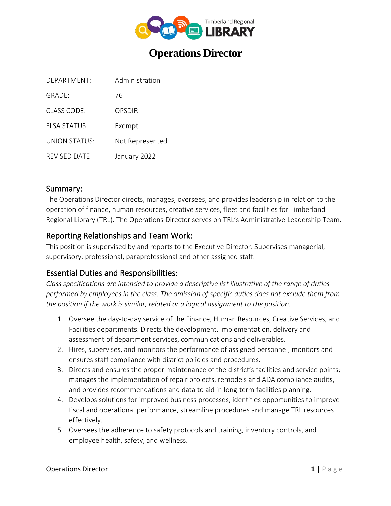

# **Operations Director**

| DEPARTMENT:               | Administration  |
|---------------------------|-----------------|
| $GRADF+$                  | 76              |
| CLASS CODE:               | OPSDIR          |
| FI SA STATUS              | Exempt          |
| UNION STATUS <sup>.</sup> | Not Represented |
| $RFV$ ISED DATE $\cdot$   | January 2022    |

### Summary:

The Operations Director directs, manages, oversees, and provides leadership in relation to the operation of finance, human resources, creative services, fleet and facilities for Timberland Regional Library (TRL). The Operations Director serves on TRL's Administrative Leadership Team.

### Reporting Relationships and Team Work:

This position is supervised by and reports to the Executive Director. Supervises managerial, supervisory, professional, paraprofessional and other assigned staff.

### Essential Duties and Responsibilities:

*Class specifications are intended to provide a descriptive list illustrative of the range of duties performed by employees in the class. The omission of specific duties does not exclude them from the position if the work is similar, related or a logical assignment to the position.*

- 1. Oversee the day-to-day service of the Finance, Human Resources, Creative Services, and Facilities departments. Directs the development, implementation, delivery and assessment of department services, communications and deliverables.
- 2. Hires, supervises, and monitors the performance of assigned personnel; monitors and ensures staff compliance with district policies and procedures.
- 3. Directs and ensures the proper maintenance of the district's facilities and service points; manages the implementation of repair projects, remodels and ADA compliance audits, and provides recommendations and data to aid in long-term facilities planning.
- 4. Develops solutions for improved business processes; identifies opportunities to improve fiscal and operational performance, streamline procedures and manage TRL resources effectively.
- 5. Oversees the adherence to safety protocols and training, inventory controls, and employee health, safety, and wellness.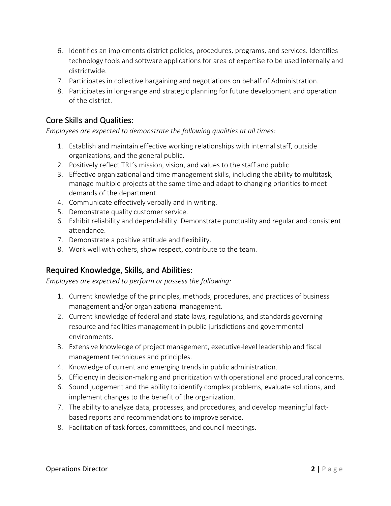- 6. Identifies an implements district policies, procedures, programs, and services. Identifies technology tools and software applications for area of expertise to be used internally and districtwide.
- 7. Participates in collective bargaining and negotiations on behalf of Administration.
- 8. Participates in long-range and strategic planning for future development and operation of the district.

## Core Skills and Qualities:

*Employees are expected to demonstrate the following qualities at all times:*

- 1. Establish and maintain effective working relationships with internal staff, outside organizations, and the general public.
- 2. Positively reflect TRL's mission, vision, and values to the staff and public.
- 3. Effective organizational and time management skills, including the ability to multitask, manage multiple projects at the same time and adapt to changing priorities to meet demands of the department.
- 4. Communicate effectively verbally and in writing.
- 5. Demonstrate quality customer service.
- 6. Exhibit reliability and dependability. Demonstrate punctuality and regular and consistent attendance.
- 7. Demonstrate a positive attitude and flexibility.
- 8. Work well with others, show respect, contribute to the team.

# Required Knowledge, Skills, and Abilities:

*Employees are expected to perform or possess the following:*

- 1. Current knowledge of the principles, methods, procedures, and practices of business management and/or organizational management.
- 2. Current knowledge of federal and state laws, regulations, and standards governing resource and facilities management in public jurisdictions and governmental environments.
- 3. Extensive knowledge of project management, executive-level leadership and fiscal management techniques and principles.
- 4. Knowledge of current and emerging trends in public administration.
- 5. Efficiency in decision-making and prioritization with operational and procedural concerns.
- 6. Sound judgement and the ability to identify complex problems, evaluate solutions, and implement changes to the benefit of the organization.
- 7. The ability to analyze data, processes, and procedures, and develop meaningful factbased reports and recommendations to improve service.
- 8. Facilitation of task forces, committees, and council meetings.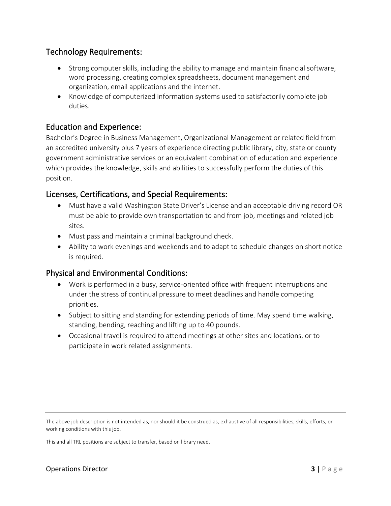### Technology Requirements:

- Strong computer skills, including the ability to manage and maintain financial software, word processing, creating complex spreadsheets, document management and organization, email applications and the internet.
- Knowledge of computerized information systems used to satisfactorily complete job duties.

### Education and Experience:

Bachelor's Degree in Business Management, Organizational Management or related field from an accredited university plus 7 years of experience directing public library, city, state or county government administrative services or an equivalent combination of education and experience which provides the knowledge, skills and abilities to successfully perform the duties of this position.

### Licenses, Certifications, and Special Requirements:

- Must have a valid Washington State Driver's License and an acceptable driving record OR must be able to provide own transportation to and from job, meetings and related job sites.
- Must pass and maintain a criminal background check.
- Ability to work evenings and weekends and to adapt to schedule changes on short notice is required.

### Physical and Environmental Conditions:

- Work is performed in a busy, service-oriented office with frequent interruptions and under the stress of continual pressure to meet deadlines and handle competing priorities.
- Subject to sitting and standing for extending periods of time. May spend time walking, standing, bending, reaching and lifting up to 40 pounds.
- Occasional travel is required to attend meetings at other sites and locations, or to participate in work related assignments.

This and all TRL positions are subject to transfer, based on library need.

The above job description is not intended as, nor should it be construed as, exhaustive of all responsibilities, skills, efforts, or working conditions with this job.